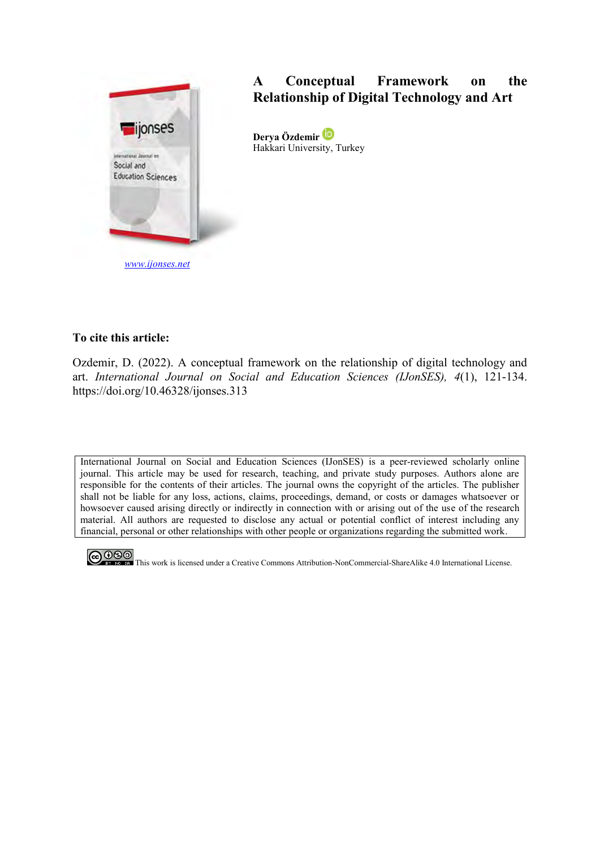

# **A Conceptual Framework on the Relationship of Digital Technology and Art**

**Derya Özdemir**  Hakkari University, Turkey

#### **To cite this article:**

Ozdemir, D. (2022). A conceptual framework on the relationship of digital technology and art. *International Journal on Social and Education Sciences (IJonSES), 4*(1), 121-134. https://doi.org/10.46328/ijonses.313

International Journal on Social and Education Sciences (IJonSES) is a peer-reviewed scholarly online journal. This article may be used for research, teaching, and private study purposes. Authors alone are responsible for the contents of their articles. The journal owns the copyright of the articles. The publisher shall not be liable for any loss, actions, claims, proceedings, demand, or costs or damages whatsoever or howsoever caused arising directly or indirectly in connection with or arising out of the use of the research material. All authors are requested to disclose any actual or potential conflict of interest including any financial, personal or other relationships with other people or organizations regarding the submitted work.



COOO This work is licensed under a Creative Commons Attribution-NonCommercial-ShareAlike 4.0 International License.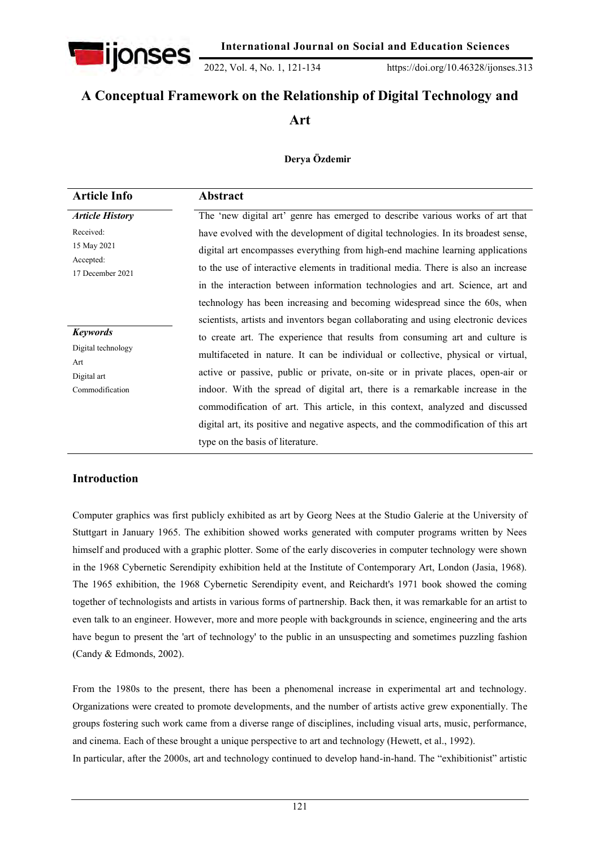

2022, Vol. 4, No. 1, 121-134 https://doi.org/10.46328/ijonses.313

# **A Conceptual Framework on the Relationship of Digital Technology and Art**

#### **Derya Özdemir**

| <b>Article Info</b>                                                            | Abstract                                                                                                                                                                                                                                                                                                                                                                                                                                                                                                                                                                                  |
|--------------------------------------------------------------------------------|-------------------------------------------------------------------------------------------------------------------------------------------------------------------------------------------------------------------------------------------------------------------------------------------------------------------------------------------------------------------------------------------------------------------------------------------------------------------------------------------------------------------------------------------------------------------------------------------|
| <b>Article History</b>                                                         | The 'new digital art' genre has emerged to describe various works of art that                                                                                                                                                                                                                                                                                                                                                                                                                                                                                                             |
| Received:<br>15 May 2021<br>Accepted:<br>17 December 2021                      | have evolved with the development of digital technologies. In its broadest sense,<br>digital art encompasses everything from high-end machine learning applications<br>to the use of interactive elements in traditional media. There is also an increase<br>in the interaction between information technologies and art. Science, art and                                                                                                                                                                                                                                                |
| <b>Keywords</b><br>Digital technology<br>Art<br>Digital art<br>Commodification | technology has been increasing and becoming widespread since the 60s, when<br>scientists, artists and inventors began collaborating and using electronic devices<br>to create art. The experience that results from consuming art and culture is<br>multifaceted in nature. It can be individual or collective, physical or virtual,<br>active or passive, public or private, on-site or in private places, open-air or<br>indoor. With the spread of digital art, there is a remarkable increase in the<br>commodification of art. This article, in this context, analyzed and discussed |
|                                                                                | digital art, its positive and negative aspects, and the commodification of this art<br>type on the basis of literature.                                                                                                                                                                                                                                                                                                                                                                                                                                                                   |

# **Introduction**

Computer graphics was first publicly exhibited as art by Georg Nees at the Studio Galerie at the University of Stuttgart in January 1965. The exhibition showed works generated with computer programs written by Nees himself and produced with a graphic plotter. Some of the early discoveries in computer technology were shown in the 1968 Cybernetic Serendipity exhibition held at the Institute of Contemporary Art, London (Jasia, 1968). The 1965 exhibition, the 1968 Cybernetic Serendipity event, and Reichardt's 1971 book showed the coming together of technologists and artists in various forms of partnership. Back then, it was remarkable for an artist to even talk to an engineer. However, more and more people with backgrounds in science, engineering and the arts have begun to present the 'art of technology' to the public in an unsuspecting and sometimes puzzling fashion (Candy & Edmonds, 2002).

From the 1980s to the present, there has been a phenomenal increase in experimental art and technology. Organizations were created to promote developments, and the number of artists active grew exponentially. The groups fostering such work came from a diverse range of disciplines, including visual arts, music, performance, and cinema. Each of these brought a unique perspective to art and technology (Hewett, et al., 1992).

In particular, after the 2000s, art and technology continued to develop hand-in-hand. The "exhibitionist" artistic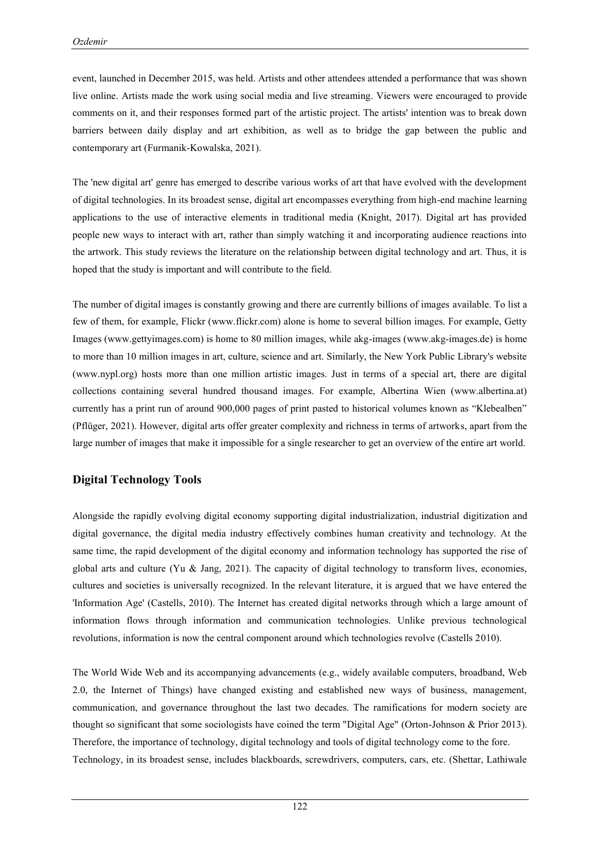event, launched in December 2015, was held. Artists and other attendees attended a performance that was shown live online. Artists made the work using social media and live streaming. Viewers were encouraged to provide comments on it, and their responses formed part of the artistic project. The artists' intention was to break down barriers between daily display and art exhibition, as well as to bridge the gap between the public and contemporary art (Furmanik-Kowalska, 2021).

The 'new digital art' genre has emerged to describe various works of art that have evolved with the development of digital technologies. In its broadest sense, digital art encompasses everything from high-end machine learning applications to the use of interactive elements in traditional media (Knight, 2017). Digital art has provided people new ways to interact with art, rather than simply watching it and incorporating audience reactions into the artwork. This study reviews the literature on the relationship between digital technology and art. Thus, it is hoped that the study is important and will contribute to the field.

The number of digital images is constantly growing and there are currently billions of images available. To list a few of them, for example, Flickr (www.flickr.com) alone is home to several billion images. For example, Getty Images (www.gettyimages.com) is home to 80 million images, while akg-images (www.akg-images.de) is home to more than 10 million images in art, culture, science and art. Similarly, the New York Public Library's website (www.nypl.org) hosts more than one million artistic images. Just in terms of a special art, there are digital collections containing several hundred thousand images. For example, Albertina Wien (www.albertina.at) currently has a print run of around 900,000 pages of print pasted to historical volumes known as "Klebealben" (Pflüger, 2021). However, digital arts offer greater complexity and richness in terms of artworks, apart from the large number of images that make it impossible for a single researcher to get an overview of the entire art world.

# **Digital Technology Tools**

Alongside the rapidly evolving digital economy supporting digital industrialization, industrial digitization and digital governance, the digital media industry effectively combines human creativity and technology. At the same time, the rapid development of the digital economy and information technology has supported the rise of global arts and culture (Yu & Jang, 2021). The capacity of digital technology to transform lives, economies, cultures and societies is universally recognized. In the relevant literature, it is argued that we have entered the 'Information Age' (Castells, 2010). The Internet has created digital networks through which a large amount of information flows through information and communication technologies. Unlike previous technological revolutions, information is now the central component around which technologies revolve (Castells 2010).

The World Wide Web and its accompanying advancements (e.g., widely available computers, broadband, Web 2.0, the Internet of Things) have changed existing and established new ways of business, management, communication, and governance throughout the last two decades. The ramifications for modern society are thought so significant that some sociologists have coined the term "Digital Age" (Orton-Johnson & Prior 2013). Therefore, the importance of technology, digital technology and tools of digital technology come to the fore. Technology, in its broadest sense, includes blackboards, screwdrivers, computers, cars, etc. (Shettar, Lathiwale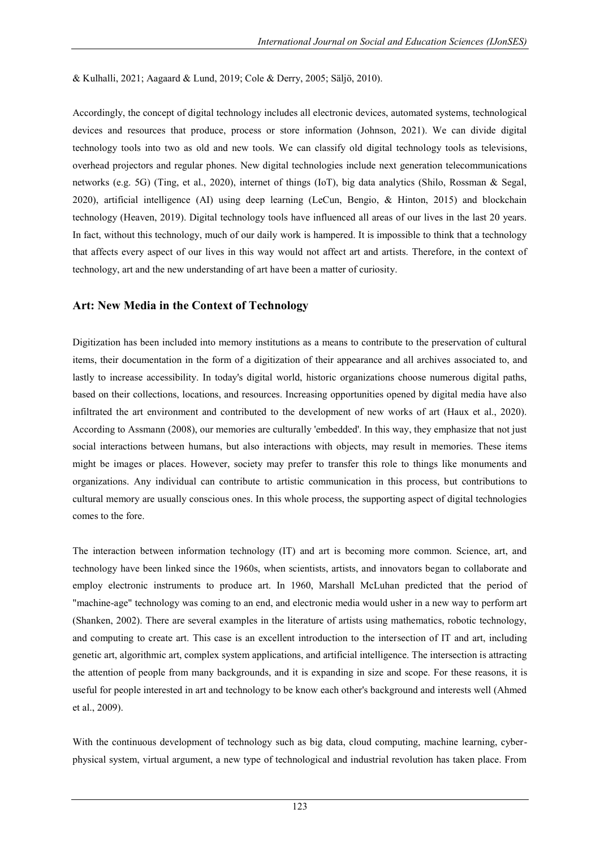& Kulhalli, 2021; Aagaard & Lund, 2019; Cole & Derry, 2005; Säljö, 2010).

Accordingly, the concept of digital technology includes all electronic devices, automated systems, technological devices and resources that produce, process or store information (Johnson, 2021). We can divide digital technology tools into two as old and new tools. We can classify old digital technology tools as televisions, overhead projectors and regular phones. New digital technologies include next generation telecommunications networks (e.g. 5G) (Ting, et al., 2020), internet of things (IoT), big data analytics (Shilo, Rossman & Segal, 2020), artificial intelligence (AI) using deep learning (LeCun, Bengio, & Hinton, 2015) and blockchain technology (Heaven, 2019). Digital technology tools have influenced all areas of our lives in the last 20 years. In fact, without this technology, much of our daily work is hampered. It is impossible to think that a technology that affects every aspect of our lives in this way would not affect art and artists. Therefore, in the context of technology, art and the new understanding of art have been a matter of curiosity.

#### **Art: New Media in the Context of Technology**

Digitization has been included into memory institutions as a means to contribute to the preservation of cultural items, their documentation in the form of a digitization of their appearance and all archives associated to, and lastly to increase accessibility. In today's digital world, historic organizations choose numerous digital paths, based on their collections, locations, and resources. Increasing opportunities opened by digital media have also infiltrated the art environment and contributed to the development of new works of art (Haux et al., 2020). According to Assmann (2008), our memories are culturally 'embedded'. In this way, they emphasize that not just social interactions between humans, but also interactions with objects, may result in memories. These items might be images or places. However, society may prefer to transfer this role to things like monuments and organizations. Any individual can contribute to artistic communication in this process, but contributions to cultural memory are usually conscious ones. In this whole process, the supporting aspect of digital technologies comes to the fore.

The interaction between information technology (IT) and art is becoming more common. Science, art, and technology have been linked since the 1960s, when scientists, artists, and innovators began to collaborate and employ electronic instruments to produce art. In 1960, Marshall McLuhan predicted that the period of "machine-age" technology was coming to an end, and electronic media would usher in a new way to perform art (Shanken, 2002). There are several examples in the literature of artists using mathematics, robotic technology, and computing to create art. This case is an excellent introduction to the intersection of IT and art, including genetic art, algorithmic art, complex system applications, and artificial intelligence. The intersection is attracting the attention of people from many backgrounds, and it is expanding in size and scope. For these reasons, it is useful for people interested in art and technology to be know each other's background and interests well (Ahmed et al., 2009).

With the continuous development of technology such as big data, cloud computing, machine learning, cyberphysical system, virtual argument, a new type of technological and industrial revolution has taken place. From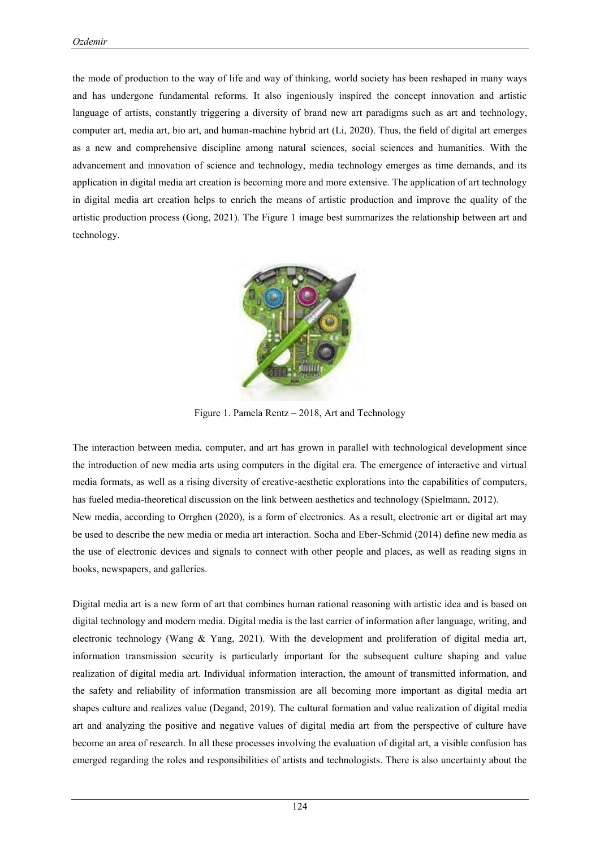the mode of production to the way of life and way of thinking, world society has been reshaped in many ways and has undergone fundamental reforms. It also ingeniously inspired the concept innovation and artistic language of artists, constantly triggering a diversity of brand new art paradigms such as art and technology, computer art, media art, bio art, and human-machine hybrid art (Li, 2020). Thus, the field of digital art emerges as a new and comprehensive discipline among natural sciences, social sciences and humanities. With the advancement and innovation of science and technology, media technology emerges as time demands, and its application in digital media art creation is becoming more and more extensive. The application of art technology in digital media art creation helps to enrich the means of artistic production and improve the quality of the artistic production process (Gong, 2021). The Figure 1 image best summarizes the relationship between art and technology.



Figure 1. Pamela Rentz – 2018, Art and Technology

The interaction between media, computer, and art has grown in parallel with technological development since the introduction of new media arts using computers in the digital era. The emergence of interactive and virtual media formats, as well as a rising diversity of creative-aesthetic explorations into the capabilities of computers, has fueled media-theoretical discussion on the link between aesthetics and technology (Spielmann, 2012). New media, according to Orrghen (2020), is a form of electronics. As a result, electronic art or digital art may be used to describe the new media or media art interaction. Socha and Eber-Schmid (2014) define new media as the use of electronic devices and signals to connect with other people and places, as well as reading signs in books, newspapers, and galleries.

Digital media art is a new form of art that combines human rational reasoning with artistic idea and is based on digital technology and modern media. Digital media is the last carrier of information after language, writing, and electronic technology (Wang & Yang, 2021). With the development and proliferation of digital media art, information transmission security is particularly important for the subsequent culture shaping and value realization of digital media art. Individual information interaction, the amount of transmitted information, and the safety and reliability of information transmission are all becoming more important as digital media art shapes culture and realizes value (Degand, 2019). The cultural formation and value realization of digital media art and analyzing the positive and negative values of digital media art from the perspective of culture have become an area of research. In all these processes involving the evaluation of digital art, a visible confusion has emerged regarding the roles and responsibilities of artists and technologists. There is also uncertainty about the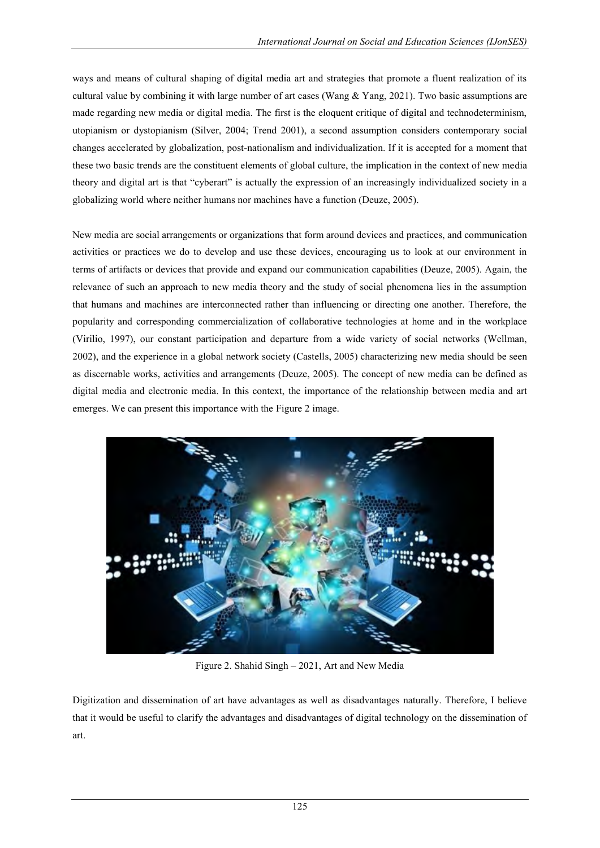ways and means of cultural shaping of digital media art and strategies that promote a fluent realization of its cultural value by combining it with large number of art cases (Wang  $&$  Yang, 2021). Two basic assumptions are made regarding new media or digital media. The first is the eloquent critique of digital and technodeterminism, utopianism or dystopianism (Silver, 2004; Trend 2001), a second assumption considers contemporary social changes accelerated by globalization, post-nationalism and individualization. If it is accepted for a moment that these two basic trends are the constituent elements of global culture, the implication in the context of new media theory and digital art is that "cyberart" is actually the expression of an increasingly individualized society in a globalizing world where neither humans nor machines have a function (Deuze, 2005).

New media are social arrangements or organizations that form around devices and practices, and communication activities or practices we do to develop and use these devices, encouraging us to look at our environment in terms of artifacts or devices that provide and expand our communication capabilities (Deuze, 2005). Again, the relevance of such an approach to new media theory and the study of social phenomena lies in the assumption that humans and machines are interconnected rather than influencing or directing one another. Therefore, the popularity and corresponding commercialization of collaborative technologies at home and in the workplace (Virilio, 1997), our constant participation and departure from a wide variety of social networks (Wellman, 2002), and the experience in a global network society (Castells, 2005) characterizing new media should be seen as discernable works, activities and arrangements (Deuze, 2005). The concept of new media can be defined as digital media and electronic media. In this context, the importance of the relationship between media and art emerges. We can present this importance with the Figure 2 image.



Figure 2. Shahid Singh – 2021, Art and New Media

Digitization and dissemination of art have advantages as well as disadvantages naturally. Therefore, I believe that it would be useful to clarify the advantages and disadvantages of digital technology on the dissemination of art.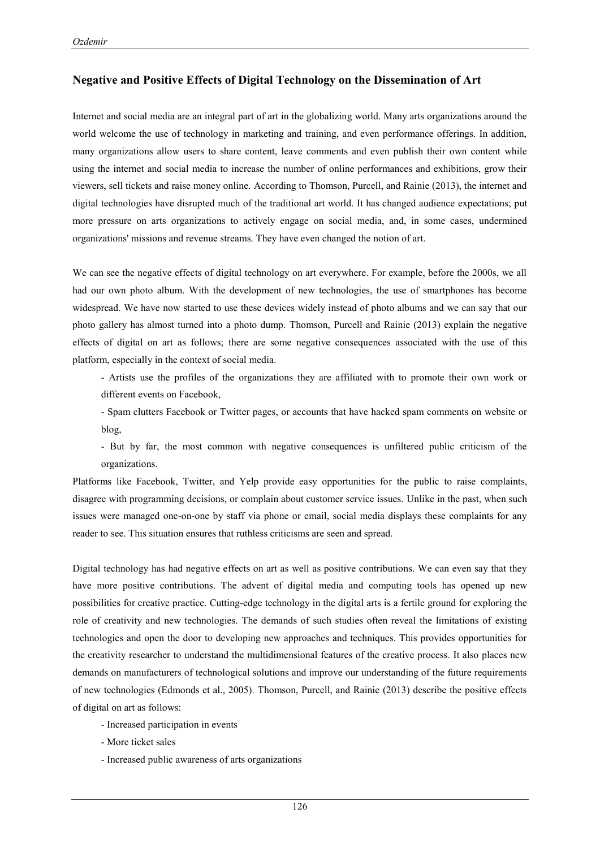#### **Negative and Positive Effects of Digital Technology on the Dissemination of Art**

Internet and social media are an integral part of art in the globalizing world. Many arts organizations around the world welcome the use of technology in marketing and training, and even performance offerings. In addition, many organizations allow users to share content, leave comments and even publish their own content while using the internet and social media to increase the number of online performances and exhibitions, grow their viewers, sell tickets and raise money online. According to Thomson, Purcell, and Rainie (2013), the internet and digital technologies have disrupted much of the traditional art world. It has changed audience expectations; put more pressure on arts organizations to actively engage on social media, and, in some cases, undermined organizations' missions and revenue streams. They have even changed the notion of art.

We can see the negative effects of digital technology on art everywhere. For example, before the 2000s, we all had our own photo album. With the development of new technologies, the use of smartphones has become widespread. We have now started to use these devices widely instead of photo albums and we can say that our photo gallery has almost turned into a photo dump. Thomson, Purcell and Rainie (2013) explain the negative effects of digital on art as follows; there are some negative consequences associated with the use of this platform, especially in the context of social media.

- Artists use the profiles of the organizations they are affiliated with to promote their own work or different events on Facebook,

- Spam clutters Facebook or Twitter pages, or accounts that have hacked spam comments on website or blog,

- But by far, the most common with negative consequences is unfiltered public criticism of the organizations.

Platforms like Facebook, Twitter, and Yelp provide easy opportunities for the public to raise complaints, disagree with programming decisions, or complain about customer service issues. Unlike in the past, when such issues were managed one-on-one by staff via phone or email, social media displays these complaints for any reader to see. This situation ensures that ruthless criticisms are seen and spread.

Digital technology has had negative effects on art as well as positive contributions. We can even say that they have more positive contributions. The advent of digital media and computing tools has opened up new possibilities for creative practice. Cutting-edge technology in the digital arts is a fertile ground for exploring the role of creativity and new technologies. The demands of such studies often reveal the limitations of existing technologies and open the door to developing new approaches and techniques. This provides opportunities for the creativity researcher to understand the multidimensional features of the creative process. It also places new demands on manufacturers of technological solutions and improve our understanding of the future requirements of new technologies (Edmonds et al., 2005). Thomson, Purcell, and Rainie (2013) describe the positive effects of digital on art as follows:

- Increased participation in events
- More ticket sales
- Increased public awareness of arts organizations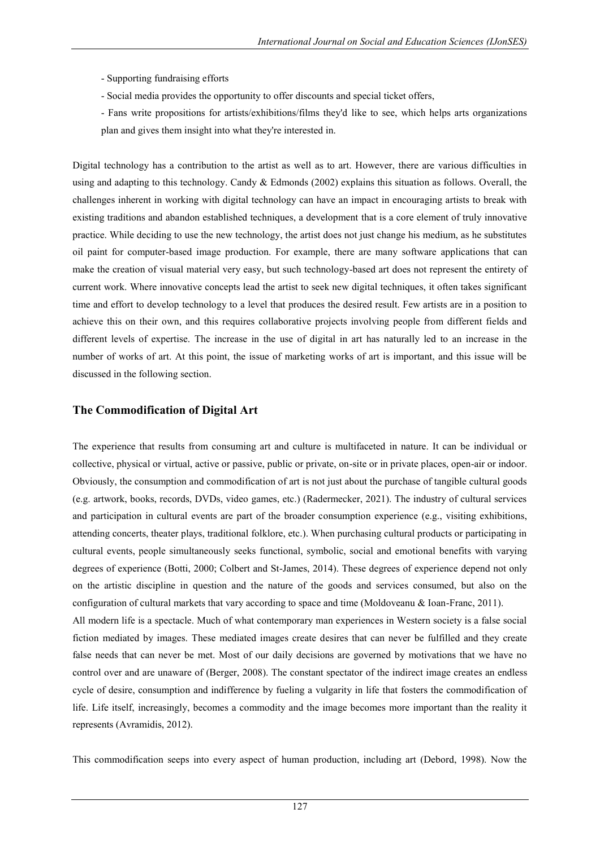- Supporting fundraising efforts
- Social media provides the opportunity to offer discounts and special ticket offers,
- Fans write propositions for artists/exhibitions/films they'd like to see, which helps arts organizations plan and gives them insight into what they're interested in.

Digital technology has a contribution to the artist as well as to art. However, there are various difficulties in using and adapting to this technology. Candy & Edmonds (2002) explains this situation as follows. Overall, the challenges inherent in working with digital technology can have an impact in encouraging artists to break with existing traditions and abandon established techniques, a development that is a core element of truly innovative practice. While deciding to use the new technology, the artist does not just change his medium, as he substitutes oil paint for computer-based image production. For example, there are many software applications that can make the creation of visual material very easy, but such technology-based art does not represent the entirety of current work. Where innovative concepts lead the artist to seek new digital techniques, it often takes significant time and effort to develop technology to a level that produces the desired result. Few artists are in a position to achieve this on their own, and this requires collaborative projects involving people from different fields and different levels of expertise. The increase in the use of digital in art has naturally led to an increase in the number of works of art. At this point, the issue of marketing works of art is important, and this issue will be discussed in the following section.

#### **The Commodification of Digital Art**

The experience that results from consuming art and culture is multifaceted in nature. It can be individual or collective, physical or virtual, active or passive, public or private, on-site or in private places, open-air or indoor. Obviously, the consumption and commodification of art is not just about the purchase of tangible cultural goods (e.g. artwork, books, records, DVDs, video games, etc.) (Radermecker, 2021). The industry of cultural services and participation in cultural events are part of the broader consumption experience (e.g., visiting exhibitions, attending concerts, theater plays, traditional folklore, etc.). When purchasing cultural products or participating in cultural events, people simultaneously seeks functional, symbolic, social and emotional benefits with varying degrees of experience (Botti, 2000; Colbert and St-James, 2014). These degrees of experience depend not only on the artistic discipline in question and the nature of the goods and services consumed, but also on the configuration of cultural markets that vary according to space and time (Moldoveanu & Ioan-Franc, 2011).

All modern life is a spectacle. Much of what contemporary man experiences in Western society is a false social fiction mediated by images. These mediated images create desires that can never be fulfilled and they create false needs that can never be met. Most of our daily decisions are governed by motivations that we have no control over and are unaware of (Berger, 2008). The constant spectator of the indirect image creates an endless cycle of desire, consumption and indifference by fueling a vulgarity in life that fosters the commodification of life. Life itself, increasingly, becomes a commodity and the image becomes more important than the reality it represents (Avramidis, 2012).

This commodification seeps into every aspect of human production, including art (Debord, 1998). Now the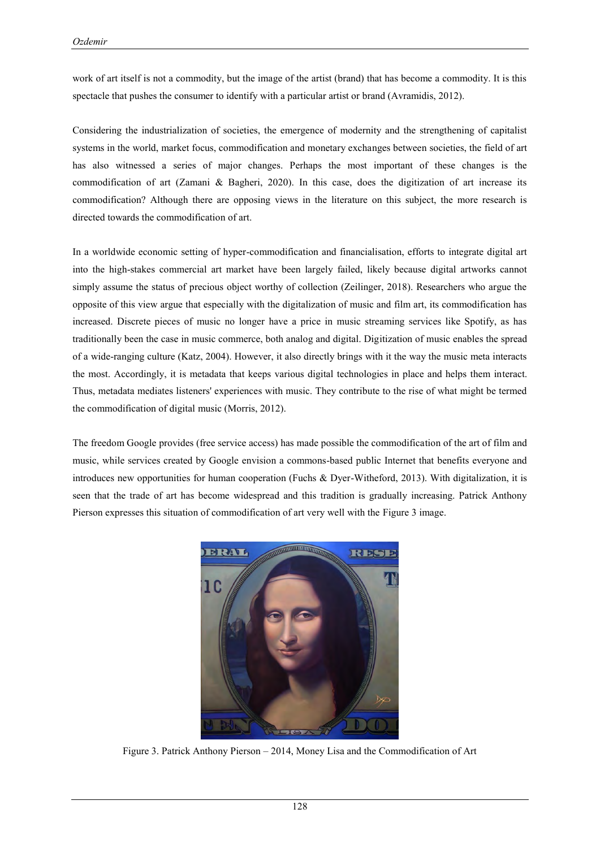work of art itself is not a commodity, but the image of the artist (brand) that has become a commodity. It is this spectacle that pushes the consumer to identify with a particular artist or brand (Avramidis, 2012).

Considering the industrialization of societies, the emergence of modernity and the strengthening of capitalist systems in the world, market focus, commodification and monetary exchanges between societies, the field of art has also witnessed a series of major changes. Perhaps the most important of these changes is the commodification of art (Zamani & Bagheri, 2020). In this case, does the digitization of art increase its commodification? Although there are opposing views in the literature on this subject, the more research is directed towards the commodification of art.

In a worldwide economic setting of hyper-commodification and financialisation, efforts to integrate digital art into the high-stakes commercial art market have been largely failed, likely because digital artworks cannot simply assume the status of precious object worthy of collection (Zeilinger, 2018). Researchers who argue the opposite of this view argue that especially with the digitalization of music and film art, its commodification has increased. Discrete pieces of music no longer have a price in music streaming services like Spotify, as has traditionally been the case in music commerce, both analog and digital. Digitization of music enables the spread of a wide-ranging culture (Katz, 2004). However, it also directly brings with it the way the music meta interacts the most. Accordingly, it is metadata that keeps various digital technologies in place and helps them interact. Thus, metadata mediates listeners' experiences with music. They contribute to the rise of what might be termed the commodification of digital music (Morris, 2012).

The freedom Google provides (free service access) has made possible the commodification of the art of film and music, while services created by Google envision a commons-based public Internet that benefits everyone and introduces new opportunities for human cooperation (Fuchs & Dyer-Witheford, 2013). With digitalization, it is seen that the trade of art has become widespread and this tradition is gradually increasing. Patrick Anthony Pierson expresses this situation of commodification of art very well with the Figure 3 image.



Figure 3. Patrick Anthony Pierson – 2014, Money Lisa and the Commodification of Art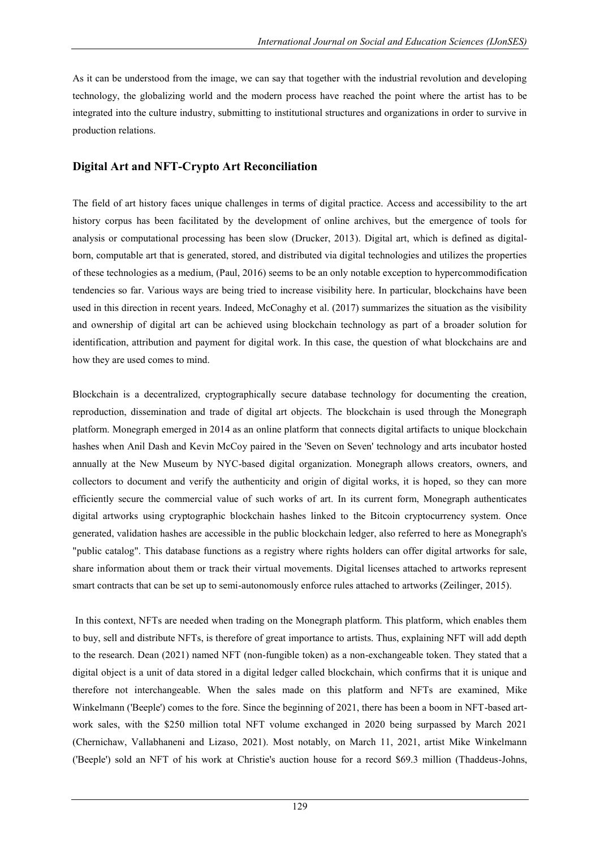As it can be understood from the image, we can say that together with the industrial revolution and developing technology, the globalizing world and the modern process have reached the point where the artist has to be integrated into the culture industry, submitting to institutional structures and organizations in order to survive in production relations.

# **Digital Art and NFT-Crypto Art Reconciliation**

The field of art history faces unique challenges in terms of digital practice. Access and accessibility to the art history corpus has been facilitated by the development of online archives, but the emergence of tools for analysis or computational processing has been slow (Drucker, 2013). Digital art, which is defined as digitalborn, computable art that is generated, stored, and distributed via digital technologies and utilizes the properties of these technologies as a medium, (Paul, 2016) seems to be an only notable exception to hypercommodification tendencies so far. Various ways are being tried to increase visibility here. In particular, blockchains have been used in this direction in recent years. Indeed, McConaghy et al. (2017) summarizes the situation as the visibility and ownership of digital art can be achieved using blockchain technology as part of a broader solution for identification, attribution and payment for digital work. In this case, the question of what blockchains are and how they are used comes to mind.

Blockchain is a decentralized, cryptographically secure database technology for documenting the creation, reproduction, dissemination and trade of digital art objects. The blockchain is used through the Monegraph platform. Monegraph emerged in 2014 as an online platform that connects digital artifacts to unique blockchain hashes when Anil Dash and Kevin McCoy paired in the 'Seven on Seven' technology and arts incubator hosted annually at the New Museum by NYC-based digital organization. Monegraph allows creators, owners, and collectors to document and verify the authenticity and origin of digital works, it is hoped, so they can more efficiently secure the commercial value of such works of art. In its current form, Monegraph authenticates digital artworks using cryptographic blockchain hashes linked to the Bitcoin cryptocurrency system. Once generated, validation hashes are accessible in the public blockchain ledger, also referred to here as Monegraph's "public catalog". This database functions as a registry where rights holders can offer digital artworks for sale, share information about them or track their virtual movements. Digital licenses attached to artworks represent smart contracts that can be set up to semi-autonomously enforce rules attached to artworks (Zeilinger, 2015).

 In this context, NFTs are needed when trading on the Monegraph platform. This platform, which enables them to buy, sell and distribute NFTs, is therefore of great importance to artists. Thus, explaining NFT will add depth to the research. Dean (2021) named NFT (non-fungible token) as a non-exchangeable token. They stated that a digital object is a unit of data stored in a digital ledger called blockchain, which confirms that it is unique and therefore not interchangeable. When the sales made on this platform and NFTs are examined, Mike Winkelmann ('Beeple') comes to the fore. Since the beginning of 2021, there has been a boom in NFT-based artwork sales, with the \$250 million total NFT volume exchanged in 2020 being surpassed by March 2021 (Chernichaw, Vallabhaneni and Lizaso, 2021). Most notably, on March 11, 2021, artist Mike Winkelmann ('Beeple') sold an NFT of his work at Christie's auction house for a record \$69.3 million (Thaddeus-Johns,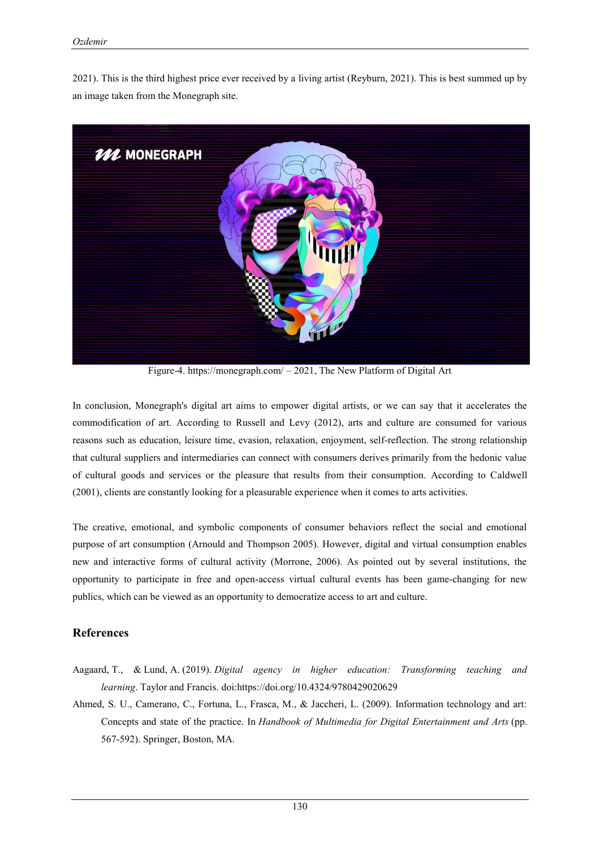2021). This is the third highest price ever received by a living artist (Reyburn, 2021). This is best summed up by an image taken from the Monegraph site.



Figure-4. https://monegraph.com/ – 2021, The New Platform of Digital Art

In conclusion, Monegraph's digital art aims to empower digital artists, or we can say that it accelerates the commodification of art. According to Russell and Levy (2012), arts and culture are consumed for various reasons such as education, leisure time, evasion, relaxation, enjoyment, self-reflection. The strong relationship that cultural suppliers and intermediaries can connect with consumers derives primarily from the hedonic value of cultural goods and services or the pleasure that results from their consumption. According to Caldwell (2001), clients are constantly looking for a pleasurable experience when it comes to arts activities.

The creative, emotional, and symbolic components of consumer behaviors reflect the social and emotional purpose of art consumption (Arnould and Thompson 2005). However, digital and virtual consumption enables new and interactive forms of cultural activity (Morrone, 2006). As pointed out by several institutions, the opportunity to participate in free and open-access virtual cultural events has been game-changing for new publics, which can be viewed as an opportunity to democratize access to art and culture.

# **References**

- Aagaard, T., & Lund, A. (2019). *Digital agency in higher education: Transforming teaching and learning*. Taylor and Francis. doi[:https://doi.org/10.4324/9780429020629](https://doi.org/10.4324/9780429020629)
- Ahmed, S. U., Camerano, C., Fortuna, L., Frasca, M., & Jaccheri, L. (2009). Information technology and art: Concepts and state of the practice. In *Handbook of Multimedia for Digital Entertainment and Arts* (pp. 567-592). Springer, Boston, MA.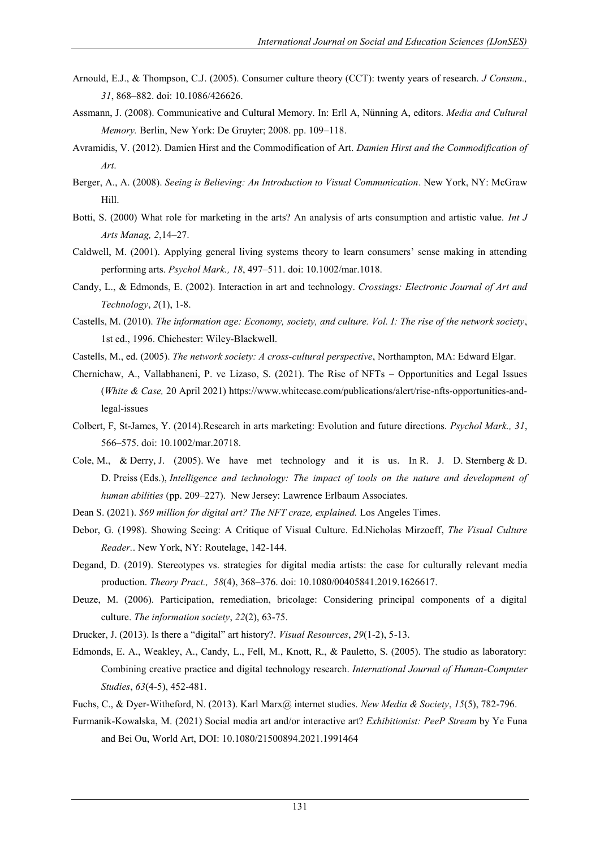- Arnould, E.J., & Thompson, C.J. (2005). Consumer culture theory (CCT): twenty years of research. *J Consum., 31*, 868–882. doi: 10.1086/426626.
- Assmann, J. (2008). Communicative and Cultural Memory. In: Erll A, Nünning A, editors. *Media and Cultural Memory.* Berlin, New York: De Gruyter; 2008. pp. 109–118.
- Avramidis, V. (2012). Damien Hirst and the Commodification of Art. *Damien Hirst and the Commodification of Art*.
- Berger, A., A. (2008). *Seeing is Believing: An Introduction to Visual Communication*. New York, NY: McGraw Hill.
- Botti, S. (2000) What role for marketing in the arts? An analysis of arts consumption and artistic value. *Int J Arts Manag, 2*,14–27.
- Caldwell, M. (2001). Applying general living systems theory to learn consumers" sense making in attending performing arts. *Psychol Mark., 18*, 497–511. doi: 10.1002/mar.1018.
- Candy, L., & Edmonds, E. (2002). Interaction in art and technology. *Crossings: Electronic Journal of Art and Technology*, *2*(1), 1-8.
- Castells, M. (2010). *The information age: Economy, society, and culture. Vol. I: The rise of the network society*, 1st ed., 1996. Chichester: Wiley-Blackwell.
- Castells, M., ed. (2005). *The network society: A cross-cultural perspective*, Northampton, MA: Edward Elgar.
- Chernichaw, A., Vallabhaneni, P. ve Lizaso, S. (2021). The Rise of NFTs Opportunities and Legal Issues (*White & Case,* 20 April 2021) [https://www.whitecase.com/publications/alert/rise-nfts-opportunities-and](https://www.whitecase.com/publications/alert/rise-nfts-opportunities-and-legal-issues)[legal-issues](https://www.whitecase.com/publications/alert/rise-nfts-opportunities-and-legal-issues)
- Colbert, F, St-James, Y. (2014).Research in arts marketing: Evolution and future directions. *Psychol Mark., 31*, 566–575. doi: 10.1002/mar.20718.
- Cole, M., & Derry, J. (2005). We have met technology and it is us. In R. J. D. Sternberg & D. D. Preiss (Eds.), *Intelligence and technology: The impact of tools on the nature and development of human abilities* (pp. 209–227). New Jersey: Lawrence Erlbaum Associates.
- Dean S. (2021). *\$69 million for digital art? [The NFT craze, explained.](https://web.archive.org/web/20210311193732/https:/www.latimes.com/business/technology/story/2021-03-11/nft-explainer-crypto-trading-collectible)* Los Angeles Times.
- Debor, G. (1998). Showing Seeing: A Critique of Visual Culture. Ed.Nicholas Mirzoeff, *The Visual Culture Reader.*. New York, NY: Routelage, 142-144.
- Degand, D. (2019). Stereotypes vs. strategies for digital media artists: the case for culturally relevant media production. *Theory Pract., 58*(4), 368–376. doi: 10.1080/00405841.2019.1626617.
- Deuze, M. (2006). Participation, remediation, bricolage: Considering principal components of a digital culture. *The information society*, *22*(2), 63-75.
- Drucker, J. (2013). Is there a "digital" art history?. *Visual Resources*, *29*(1-2), 5-13.
- Edmonds, E. A., Weakley, A., Candy, L., Fell, M., Knott, R., & Pauletto, S. (2005). The studio as laboratory: Combining creative practice and digital technology research. *International Journal of Human-Computer Studies*, *63*(4-5), 452-481.
- Fuchs, C., & Dyer-Witheford, N. (2013). Karl Marx@ internet studies. *New Media & Society*, *15*(5), 782-796.
- Furmanik-Kowalska, M. (2021) Social media art and/or interactive art? *Exhibitionist: PeeP Stream* by Ye Funa and Bei Ou, World Art, DOI: [10.1080/21500894.2021.1991464](https://doi.org/10.1080/21500894.2021.1991464)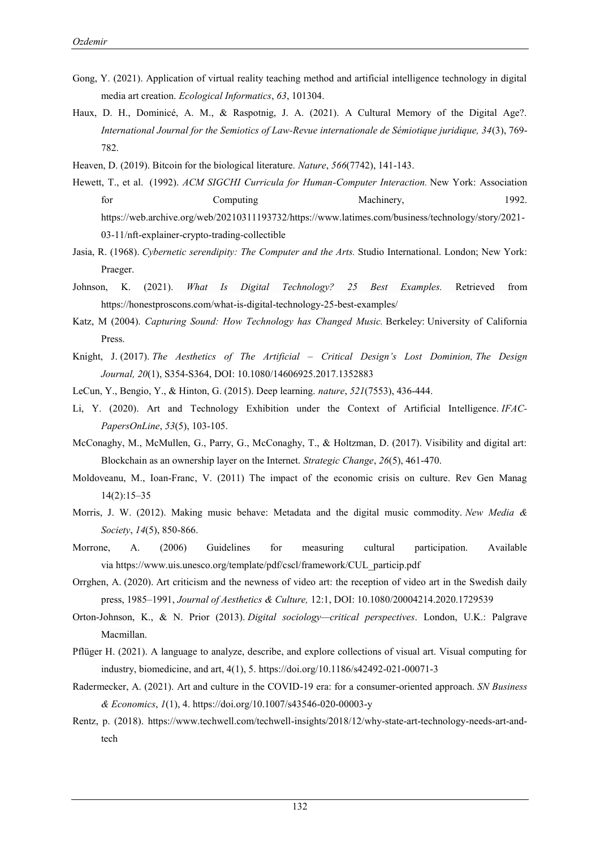- Gong, Y. (2021). Application of virtual reality teaching method and artificial intelligence technology in digital media art creation. *Ecological Informatics*, *63*, 101304.
- Haux, D. H., Dominicé, A. M., & Raspotnig, J. A. (2021). A Cultural Memory of the Digital Age?. *International Journal for the Semiotics of Law-Revue internationale de Sémiotique juridique, 34*(3), 769- 782.
- Heaven, D. (2019). Bitcoin for the biological literature. *Nature*, *566*(7742), 141-143.
- Hewett, T., et al. (1992). *ACM SIGCHI Curricula for Human-Computer Interaction.* New York: Association for Computing Machinery, 1992. https://web.archive.org/web/20210311193732/https://www.latimes.com/business/technology/story/2021- 03-11/nft-explainer-crypto-trading-collectible
- Jasia, R. (1968). *Cybernetic serendipity: The Computer and the Arts.* Studio International. London; New York: Praeger.
- Johnson, K. (2021). *What Is Digital Technology? 25 Best Examples.* Retrieved from <https://honestproscons.com/what-is-digital-technology-25-best-examples/>
- Katz, M (2004). *Capturing Sound: How Technology has Changed Music.* Berkeley: University of California Press.
- Knight, J. (2017). *The Aesthetics of The Artificial – Critical Design's Lost Dominion, The Design Journal, 20*(1), S354-S364, DOI: [10.1080/14606925.2017.1352883](https://doi.org/10.1080/14606925.2017.1352883)
- LeCun, Y., Bengio, Y., & Hinton, G. (2015). Deep learning. *nature*, *521*(7553), 436-444.
- Li, Y. (2020). Art and Technology Exhibition under the Context of Artificial Intelligence. *IFAC-PapersOnLine*, *53*(5), 103-105.
- McConaghy, M., McMullen, G., Parry, G., McConaghy, T., & Holtzman, D. (2017). Visibility and digital art: Blockchain as an ownership layer on the Internet. *Strategic Change*, *26*(5), 461-470.
- Moldoveanu, M., Ioan-Franc, V. (2011) The impact of the economic crisis on culture. Rev Gen Manag 14(2):15–35
- Morris, J. W. (2012). Making music behave: Metadata and the digital music commodity. *New Media & Society*, *14*(5), 850-866.
- Morrone, A. (2006) Guidelines for measuring cultural participation. Available via [https://www.uis.unesco.org/template/pdf/cscl/framework/CUL\\_particip.pdf](http://www.uis.unesco.org/template/pdf/cscl/framework/CUL_particip.pdf)
- Orrghen, A. (2020). Art criticism and the newness of video art: the reception of video art in the Swedish daily press, 1985–1991, *Journal of Aesthetics & Culture,* 12:1, DOI: [10.1080/20004214.2020.1729539](https://doi.org/10.1080/20004214.2020.1729539)
- Orton-Johnson, K., & N. Prior (2013). *Digital sociology—critical perspectives*. London, U.K.: Palgrave Macmillan.
- Pflüger H. (2021). A language to analyze, describe, and explore collections of visual art. Visual computing for industry, biomedicine, and art, 4(1), 5[. https://doi.org/10.1186/s42492-021-00071-3](https://doi.org/10.1186/s42492-021-00071-3)
- Radermecker, A. (2021). Art and culture in the COVID-19 era: for a consumer-oriented approach. *SN Business & Economics*, *1*(1), 4.<https://doi.org/10.1007/s43546-020-00003-y>
- Rentz, p. (2018). [https://www.techwell.com/techwell-insights/2018/12/why-state-art-technology-needs-art-and](https://www.techwell.com/techwell-insights/2018/12/why-state-art-technology-needs-art-and-tech)[tech](https://www.techwell.com/techwell-insights/2018/12/why-state-art-technology-needs-art-and-tech)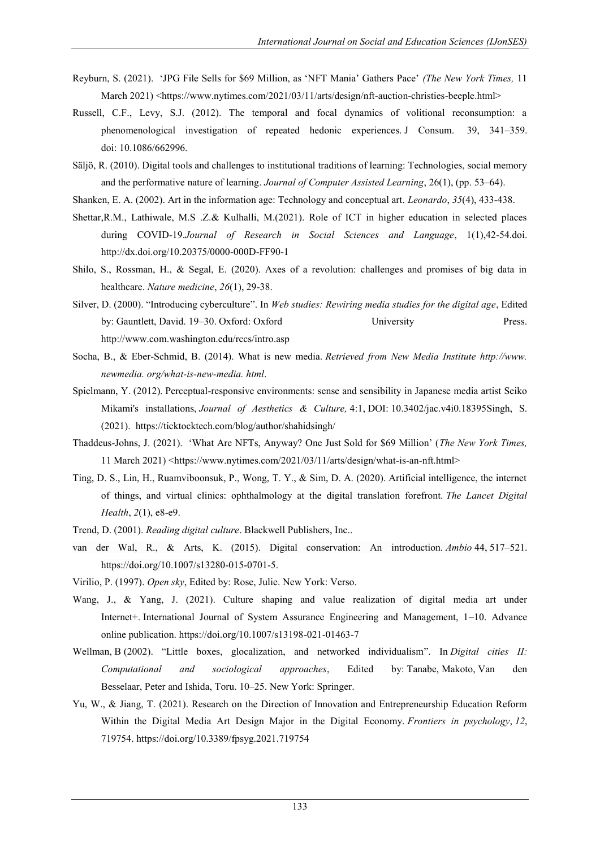- Reyburn, S. (2021). "JPG File Sells for \$69 Million, as "NFT Mania" Gathers Pace" *(The New York Times,* 11 March 2021) [<https://www.nytimes.com/2021/03/11/arts/design/nft-auction-christies-beeple.html>](https://www.nytimes.com/2021/03/11/arts/design/nft-auction-christies-beeple.html)
- Russell, C.F., Levy, S.J. (2012). The temporal and focal dynamics of volitional reconsumption: a phenomenological investigation of repeated hedonic experiences. J Consum. 39, 341–359. doi: 10.1086/662996.
- Säljö, R. (2010). Digital tools and challenges to institutional traditions of learning: Technologies, social memory and the performative nature of learning. *Journal of Computer Assisted Learning*, 26(1), (pp. 53–64).
- Shanken, E. A. (2002). Art in the information age: Technology and conceptual art. *Leonardo*, *35*(4), 433-438.
- Shettar,R.M., Lathiwale, M.S .Z.& Kulhalli, M.(2021). Role of ICT in higher education in selected places during COVID-19.*Journal of Research in Social Sciences and Language*, 1(1),42-54.doi. http://dx.doi.org/10.20375/0000-000D-FF90-1
- Shilo, S., Rossman, H., & Segal, E. (2020). Axes of a revolution: challenges and promises of big data in healthcare. *Nature medicine*, *26*(1), 29-38.
- Silver, D. (2000). "Introducing cyberculture". In *Web studies: Rewiring media studies for the digital age*, Edited by: Gauntlett, David. 19–30. Oxford: Oxford University Press. <http://www.com.washington.edu/rccs/intro.asp>
- Socha, B., & Eber-Schmid, B. (2014). What is new media. *Retrieved from New Media Institute http://www. newmedia. org/what-is-new-media. html*.
- Spielmann, Y. (2012). Perceptual-responsive environments: sense and sensibility in Japanese media artist Seiko Mikami's installations, *Journal of Aesthetics & Culture,* 4:1, DOI: [10.3402/jac.v4i0.18395S](https://doi.org/10.3402/jac.v4i0.18395)ingh, S. (2021).<https://ticktocktech.com/blog/author/shahidsingh/>
- Thaddeus-Johns, J. (2021). "What Are NFTs, Anyway? One Just Sold for \$69 Million" (*The New York Times,* 11 March 2021) <[https://www.nytimes.com/2021/03/11/arts/design/what-is-an-nft.html>](https://www.nytimes.com/2021/03/11/arts/design/what-is-an-nft.html)
- Ting, D. S., Lin, H., Ruamviboonsuk, P., Wong, T. Y., & Sim, D. A. (2020). Artificial intelligence, the internet of things, and virtual clinics: ophthalmology at the digital translation forefront. *The Lancet Digital Health*, *2*(1), e8-e9.
- Trend, D. (2001). *Reading digital culture*. Blackwell Publishers, Inc..
- van der Wal, R., & Arts, K. (2015). Digital conservation: An introduction. *Ambio* 44, 517–521. [https://doi.org/10.1007/s13280-015-0701-5.](https://doi.org/10.1007/s13280-015-0701-5)
- Virilio, P. (1997). *Open sky*, Edited by: Rose, Julie. New York: Verso.
- Wang, J., & Yang, J. (2021). Culture shaping and value realization of digital media art under Internet+. International Journal of System Assurance Engineering and Management, 1–10. Advance online publication.<https://doi.org/10.1007/s13198-021-01463-7>
- Wellman, B (2002). "Little boxes, glocalization, and networked individualism". In *Digital cities II: Computational and sociological approaches*, Edited by: Tanabe, Makoto, Van den Besselaar, Peter and Ishida, Toru. 10–25. New York: Springer.
- Yu, W., & Jiang, T. (2021). Research on the Direction of Innovation and Entrepreneurship Education Reform Within the Digital Media Art Design Major in the Digital Economy. *Frontiers in psychology*, *12*, 719754.<https://doi.org/10.3389/fpsyg.2021.719754>